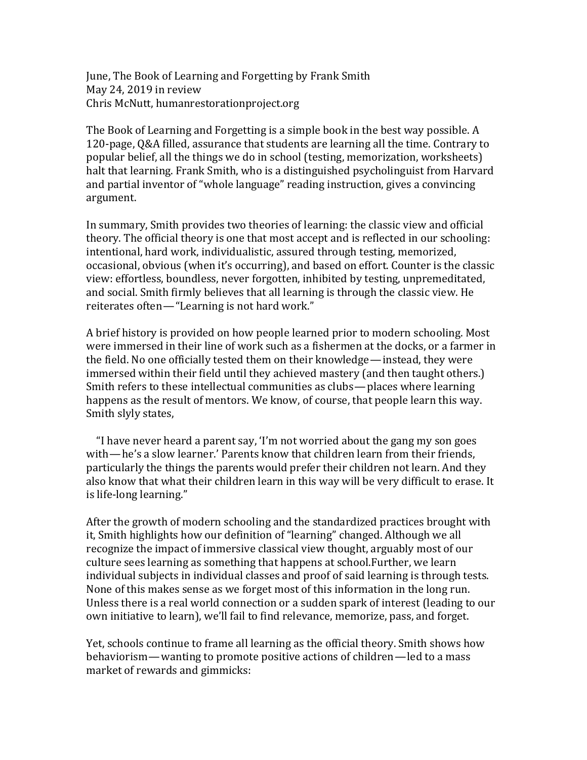June, The Book of Learning and Forgetting by Frank Smith May 24, 2019 in review Chris McNutt, humanrestorationproject.org

The Book of Learning and Forgetting is a simple book in the best way possible. A 120-page, O&A filled, assurance that students are learning all the time. Contrary to popular belief, all the things we do in school (testing, memorization, worksheets) halt that learning. Frank Smith, who is a distinguished psycholinguist from Harvard and partial inventor of "whole language" reading instruction, gives a convincing argument.

In summary, Smith provides two theories of learning: the classic view and official theory. The official theory is one that most accept and is reflected in our schooling: intentional, hard work, individualistic, assured through testing, memorized, occasional, obvious (when it's occurring), and based on effort. Counter is the classic view: effortless, boundless, never forgotten, inhibited by testing, unpremeditated, and social. Smith firmly believes that all learning is through the classic view. He reiterates often—"Learning is not hard work."

A brief history is provided on how people learned prior to modern schooling. Most were immersed in their line of work such as a fishermen at the docks, or a farmer in the field. No one officially tested them on their knowledge—instead, they were immersed within their field until they achieved mastery (and then taught others.) Smith refers to these intellectual communities as clubs—places where learning happens as the result of mentors. We know, of course, that people learn this way. Smith slyly states,

"I have never heard a parent say, 'I'm not worried about the gang my son goes with—he's a slow learner.' Parents know that children learn from their friends, particularly the things the parents would prefer their children not learn. And they also know that what their children learn in this way will be very difficult to erase. It is life-long learning."

After the growth of modern schooling and the standardized practices brought with it, Smith highlights how our definition of "learning" changed. Although we all recognize the impact of immersive classical view thought, arguably most of our culture sees learning as something that happens at school. Further, we learn individual subjects in individual classes and proof of said learning is through tests. None of this makes sense as we forget most of this information in the long run. Unless there is a real world connection or a sudden spark of interest (leading to our own initiative to learn), we'll fail to find relevance, memorize, pass, and forget.

Yet, schools continue to frame all learning as the official theory. Smith shows how behaviorism—wanting to promote positive actions of children—led to a mass market of rewards and gimmicks: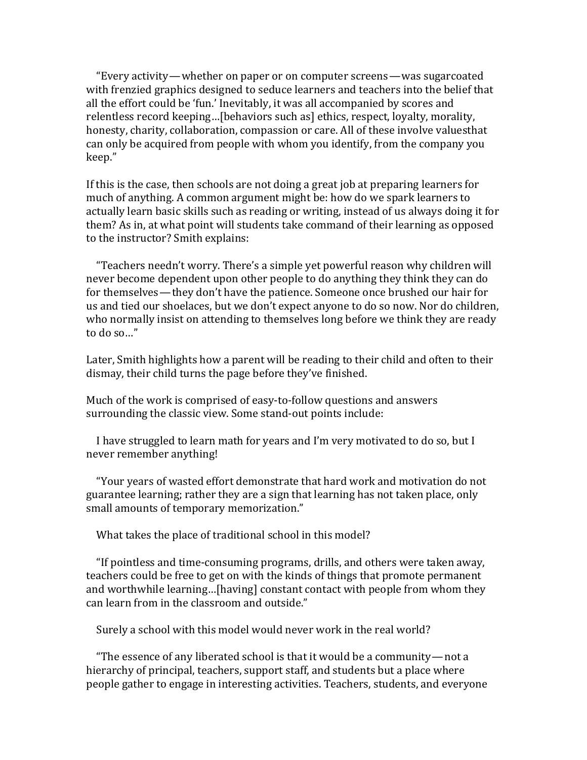"Every activity—whether on paper or on computer screens—was sugarcoated with frenzied graphics designed to seduce learners and teachers into the belief that all the effort could be 'fun.' Inevitably, it was all accompanied by scores and relentless record keeping...[behaviors such as] ethics, respect, loyalty, morality, honesty, charity, collaboration, compassion or care. All of these involve valuesthat can only be acquired from people with whom you identify, from the company you keep."

If this is the case, then schools are not doing a great job at preparing learners for much of anything. A common argument might be: how do we spark learners to actually learn basic skills such as reading or writing, instead of us always doing it for them? As in, at what point will students take command of their learning as opposed to the instructor? Smith explains:

"Teachers needn't worry. There's a simple yet powerful reason why children will never become dependent upon other people to do anything they think they can do for themselves—they don't have the patience. Someone once brushed our hair for us and tied our shoelaces, but we don't expect anyone to do so now. Nor do children, who normally insist on attending to themselves long before we think they are ready to do so..."

Later, Smith highlights how a parent will be reading to their child and often to their dismay, their child turns the page before they've finished.

Much of the work is comprised of easy-to-follow questions and answers surrounding the classic view. Some stand-out points include:

I have struggled to learn math for years and I'm very motivated to do so, but I never remember anything!

"Your years of wasted effort demonstrate that hard work and motivation do not guarantee learning; rather they are a sign that learning has not taken place, only small amounts of temporary memorization."

What takes the place of traditional school in this model?

"If pointless and time-consuming programs, drills, and others were taken away, teachers could be free to get on with the kinds of things that promote permanent and worthwhile learning...[having] constant contact with people from whom they can learn from in the classroom and outside."

Surely a school with this model would never work in the real world?

"The essence of any liberated school is that it would be a community-not a hierarchy of principal, teachers, support staff, and students but a place where people gather to engage in interesting activities. Teachers, students, and everyone